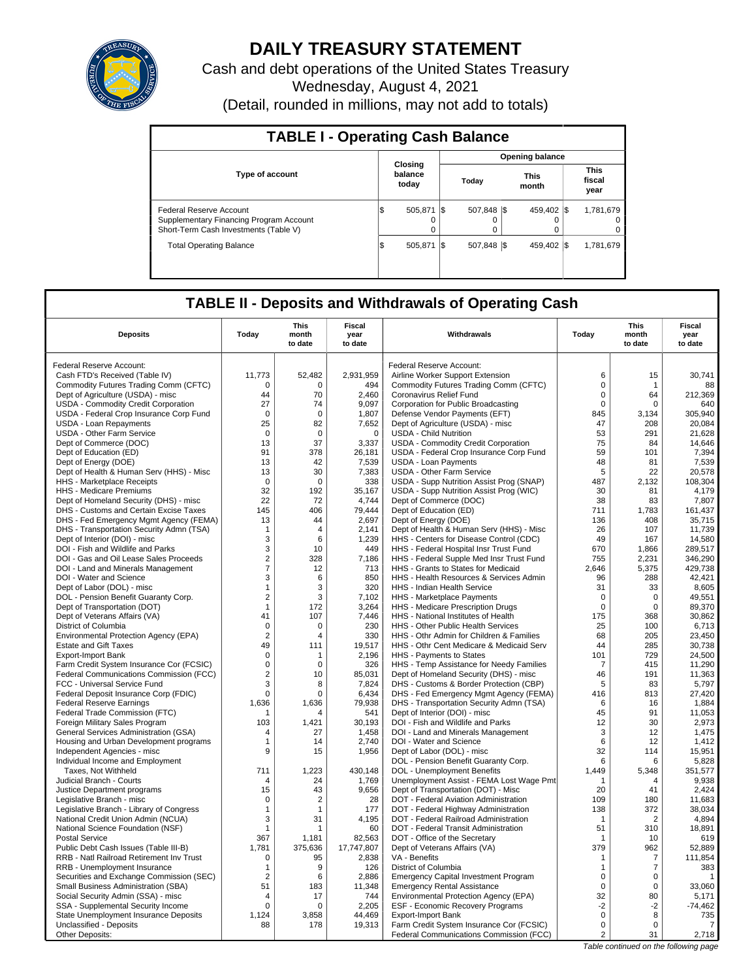

# **DAILY TREASURY STATEMENT**

Cash and debt operations of the United States Treasury Wednesday, August 4, 2021 (Detail, rounded in millions, may not add to totals)

| <b>TABLE I - Operating Cash Balance</b>                                                                     |                             |                     |       |                  |                      |                        |                               |                       |
|-------------------------------------------------------------------------------------------------------------|-----------------------------|---------------------|-------|------------------|----------------------|------------------------|-------------------------------|-----------------------|
|                                                                                                             |                             |                     |       |                  |                      | <b>Opening balance</b> |                               |                       |
| <b>Type of account</b>                                                                                      | Closing<br>balance<br>today |                     | Today |                  | <b>This</b><br>month |                        | <b>This</b><br>fiscal<br>year |                       |
| Federal Reserve Account<br>Supplementary Financing Program Account<br>Short-Term Cash Investments (Table V) | I\$                         | 505.871<br>$\Omega$ |       | 507.848 \\$<br>0 |                      | 459.402 \\$            |                               | 1.781.679<br>$\Omega$ |
| <b>Total Operating Balance</b>                                                                              | I\$                         | 505.871             | I\$   | 507.848 \\$      |                      | 459.402 \\$            |                               | 1.781.679             |

## **TABLE II - Deposits and Withdrawals of Operating Cash**

| <b>Deposits</b>                                                              | Today             | <b>This</b><br>month<br>to date | <b>Fiscal</b><br>year<br>to date | Withdrawals                                                                     | Todav              | <b>This</b><br>month<br>to date | <b>Fiscal</b><br>year<br>to date      |
|------------------------------------------------------------------------------|-------------------|---------------------------------|----------------------------------|---------------------------------------------------------------------------------|--------------------|---------------------------------|---------------------------------------|
| Federal Reserve Account:                                                     |                   |                                 |                                  | Federal Reserve Account:                                                        |                    |                                 |                                       |
| Cash FTD's Received (Table IV)                                               | 11,773            | 52,482                          | 2,931,959                        | Airline Worker Support Extension                                                | 6                  | 15                              | 30,741                                |
| Commodity Futures Trading Comm (CFTC)                                        | $\Omega$          | $\Omega$                        | 494                              | Commodity Futures Trading Comm (CFTC)                                           | $\Omega$           | $\mathbf 1$                     | 88                                    |
| Dept of Agriculture (USDA) - misc                                            | 44                | 70                              | 2,460                            | Coronavirus Relief Fund                                                         | $\Omega$           | 64                              | 212,369                               |
| <b>USDA - Commodity Credit Corporation</b>                                   | 27                | 74                              | 9,097                            | Corporation for Public Broadcasting                                             | $\mathbf 0$        | 0                               | 640                                   |
| USDA - Federal Crop Insurance Corp Fund                                      | $\Omega$          | $\Omega$                        | 1,807                            | Defense Vendor Payments (EFT)                                                   | 845                | 3,134                           | 305,940                               |
| <b>USDA - Loan Repayments</b>                                                | 25                | 82                              | 7,652                            | Dept of Agriculture (USDA) - misc                                               | 47                 | 208                             | 20.084                                |
| <b>USDA - Other Farm Service</b>                                             | $\mathbf 0$       | $\mathbf 0$                     | $\mathbf 0$                      | <b>USDA - Child Nutrition</b>                                                   | 53                 | 291                             | 21,628                                |
| Dept of Commerce (DOC)                                                       | 13                | 37                              | 3,337                            | USDA - Commodity Credit Corporation                                             | 75                 | 84                              | 14,646                                |
| Dept of Education (ED)                                                       | 91                | 378                             | 26,181                           | USDA - Federal Crop Insurance Corp Fund                                         | 59                 | 101                             | 7,394                                 |
| Dept of Energy (DOE)                                                         | 13                | 42                              | 7,539                            | <b>USDA - Loan Payments</b>                                                     | 48                 | 81                              | 7,539                                 |
| Dept of Health & Human Serv (HHS) - Misc                                     | 13                | 30                              | 7,383                            | USDA - Other Farm Service                                                       | 5                  | 22                              | 20.578                                |
| HHS - Marketplace Receipts                                                   | $\mathbf 0$       | $\Omega$                        | 338                              | USDA - Supp Nutrition Assist Prog (SNAP)                                        | 487                | 2,132                           | 108,304                               |
| HHS - Medicare Premiums                                                      | 32                | 192                             | 35,167                           | USDA - Supp Nutrition Assist Prog (WIC)                                         | 30                 | 81                              | 4,179                                 |
| Dept of Homeland Security (DHS) - misc                                       | 22                | 72                              | 4,744                            | Dept of Commerce (DOC)                                                          | 38                 | 83                              | 7,807                                 |
| DHS - Customs and Certain Excise Taxes                                       | 145               | 406                             | 79,444                           | Dept of Education (ED)                                                          | 711                | 1,783                           | 161,437                               |
| DHS - Fed Emergency Mgmt Agency (FEMA)                                       | 13                | 44                              | 2,697                            | Dept of Energy (DOE)                                                            | 136                | 408                             | 35,715                                |
| DHS - Transportation Security Admn (TSA)                                     | $\mathbf{1}$      | $\overline{4}$                  | 2,141                            | Dept of Health & Human Serv (HHS) - Misc                                        | 26                 | 107                             | 11,739                                |
| Dept of Interior (DOI) - misc                                                | 3                 | 6                               | 1,239                            | HHS - Centers for Disease Control (CDC)                                         | 49                 | 167                             | 14,580                                |
| DOI - Fish and Wildlife and Parks                                            | 3<br>$\sqrt{2}$   | 10<br>328                       | 449                              | HHS - Federal Hospital Insr Trust Fund                                          | 670                | 1,866                           | 289,517                               |
| DOI - Gas and Oil Lease Sales Proceeds<br>DOI - Land and Minerals Management | $\overline{7}$    | 12                              | 7,186<br>713                     | HHS - Federal Supple Med Insr Trust Fund<br>HHS - Grants to States for Medicaid | 755<br>2.646       | 2,231<br>5,375                  | 346,290<br>429.738                    |
| DOI - Water and Science                                                      | 3                 | 6                               | 850                              | HHS - Health Resources & Services Admin                                         | 96                 | 288                             | 42,421                                |
| Dept of Labor (DOL) - misc                                                   | $\mathbf{1}$      | 3                               | 320                              | <b>HHS - Indian Health Service</b>                                              | 31                 | 33                              | 8,605                                 |
| DOL - Pension Benefit Guaranty Corp.                                         | $\overline{2}$    | 3                               | 7,102                            | HHS - Marketplace Payments                                                      | $\mathbf 0$        | $\mathbf 0$                     | 49,551                                |
| Dept of Transportation (DOT)                                                 | $\mathbf{1}$      | 172                             | 3,264                            | HHS - Medicare Prescription Drugs                                               | $\mathbf 0$        | $\mathbf 0$                     | 89,370                                |
| Dept of Veterans Affairs (VA)                                                | 41                | 107                             | 7,446                            | HHS - National Institutes of Health                                             | 175                | 368                             | 30,862                                |
| District of Columbia                                                         | $\mathbf 0$       | $\mathbf 0$                     | 230                              | <b>HHS - Other Public Health Services</b>                                       | 25                 | 100                             | 6,713                                 |
| Environmental Protection Agency (EPA)                                        | $\overline{2}$    | 4                               | 330                              | HHS - Othr Admin for Children & Families                                        | 68                 | 205                             | 23,450                                |
| <b>Estate and Gift Taxes</b>                                                 | 49                | 111                             | 19,517                           | HHS - Othr Cent Medicare & Medicaid Serv                                        | 44                 | 285                             | 30,738                                |
| Export-Import Bank                                                           | $\mathbf 0$       | 1                               | 2,196                            | HHS - Payments to States                                                        | 101                | 729                             | 24,500                                |
| Farm Credit System Insurance Cor (FCSIC)                                     | $\mathsf 0$       | $\Omega$                        | 326                              | HHS - Temp Assistance for Needy Families                                        | $\overline{7}$     | 415                             | 11,290                                |
| <b>Federal Communications Commission (FCC)</b>                               | $\overline{2}$    | 10                              | 85,031                           | Dept of Homeland Security (DHS) - misc                                          | 46                 | 191                             | 11,363                                |
| FCC - Universal Service Fund                                                 | 3                 | 8                               | 7,824                            | DHS - Customs & Border Protection (CBP)                                         | 5                  | 83                              | 5,797                                 |
| Federal Deposit Insurance Corp (FDIC)                                        | $\mathbf 0$       | 0                               | 6,434                            | DHS - Fed Emergency Mgmt Agency (FEMA)                                          | 416                | 813                             | 27,420                                |
| <b>Federal Reserve Earnings</b>                                              | 1,636             | 1,636                           | 79,938                           | DHS - Transportation Security Admn (TSA)                                        | 6                  | 16                              | 1,884                                 |
| Federal Trade Commission (FTC)                                               | -1                | 4                               | 541                              | Dept of Interior (DOI) - misc                                                   | 45                 | 91                              | 11.053                                |
| Foreign Military Sales Program                                               | 103               | 1,421                           | 30,193                           | DOI - Fish and Wildlife and Parks                                               | 12                 | 30                              | 2,973                                 |
| <b>General Services Administration (GSA)</b>                                 | $\overline{4}$    | 27                              | 1.458                            | DOI - Land and Minerals Management                                              | 3                  | 12                              | 1,475                                 |
| Housing and Urban Development programs                                       | $\mathbf 1$       | 14                              | 2,740                            | DOI - Water and Science                                                         | 6                  | 12                              | 1,412                                 |
| Independent Agencies - misc                                                  | 9                 | 15                              | 1,956                            | Dept of Labor (DOL) - misc                                                      | 32                 | 114                             | 15,951                                |
| Individual Income and Employment                                             |                   |                                 |                                  | DOL - Pension Benefit Guaranty Corp.                                            | 6                  | 6                               | 5,828                                 |
| Taxes. Not Withheld                                                          | 711               | 1,223                           | 430.148                          | DOL - Unemployment Benefits                                                     | 1.449              | 5,348                           | 351,577                               |
| Judicial Branch - Courts                                                     | $\overline{4}$    | 24                              | 1,769                            | Unemployment Assist - FEMA Lost Wage Pmt                                        |                    | 4                               | 9,938                                 |
| Justice Department programs                                                  | 15                | 43<br>$\overline{2}$            | 9,656                            | Dept of Transportation (DOT) - Misc                                             | 20                 | 41                              | 2,424                                 |
| Legislative Branch - misc                                                    | 0<br>$\mathbf{1}$ | 1                               | 28                               | DOT - Federal Aviation Administration                                           | 109                | 180<br>372                      | 11,683<br>38,034                      |
| Legislative Branch - Library of Congress                                     | 3                 | 31                              | 177<br>4,195                     | DOT - Federal Highway Administration<br>DOT - Federal Railroad Administration   | 138<br>$\mathbf 1$ | $\overline{2}$                  | 4,894                                 |
| National Credit Union Admin (NCUA)                                           | $\mathbf{1}$      | 1                               | 60                               |                                                                                 | 51                 | 310                             |                                       |
| National Science Foundation (NSF)<br><b>Postal Service</b>                   | 367               | 1,181                           | 82,563                           | DOT - Federal Transit Administration<br>DOT - Office of the Secretary           | $\mathbf 1$        | 10                              | 18,891<br>619                         |
| Public Debt Cash Issues (Table III-B)                                        | 1,781             | 375,636                         | 17,747,807                       | Dept of Veterans Affairs (VA)                                                   | 379                | 962                             | 52,889                                |
| <b>RRB - Natl Railroad Retirement Inv Trust</b>                              | $\mathbf 0$       | 95                              | 2,838                            | VA - Benefits                                                                   | 1                  | $\overline{7}$                  | 111,854                               |
| RRB - Unemployment Insurance                                                 | $\mathbf{1}$      | 9                               | 126                              | District of Columbia                                                            | $\mathbf{1}$       | $\overline{7}$                  | 383                                   |
| Securities and Exchange Commission (SEC)                                     | $\overline{2}$    | 6                               | 2.886                            | <b>Emergency Capital Investment Program</b>                                     | $\mathbf 0$        | 0                               | 1                                     |
| Small Business Administration (SBA)                                          | 51                | 183                             | 11,348                           | <b>Emergency Rental Assistance</b>                                              | $\mathbf 0$        | 0                               | 33,060                                |
| Social Security Admin (SSA) - misc                                           | $\overline{4}$    | 17                              | 744                              | Environmental Protection Agency (EPA)                                           | 32                 | 80                              | 5,171                                 |
| SSA - Supplemental Security Income                                           | $\mathbf 0$       | 0                               | 2,205                            | ESF - Economic Recovery Programs                                                | $-2$               | $-2$                            | $-74,462$                             |
| State Unemployment Insurance Deposits                                        | 1,124             | 3,858                           | 44,469                           | <b>Export-Import Bank</b>                                                       | $\Omega$           | 8                               | 735                                   |
| Unclassified - Deposits                                                      | 88                | 178                             | 19,313                           | Farm Credit System Insurance Cor (FCSIC)                                        | $\mathbf 0$        | $\mathbf 0$                     | $\overline{7}$                        |
| Other Deposits:                                                              |                   |                                 |                                  | Federal Communications Commission (FCC)                                         | 2                  | 31                              | 2,718                                 |
|                                                                              |                   |                                 |                                  |                                                                                 |                    |                                 | Table continued on the following page |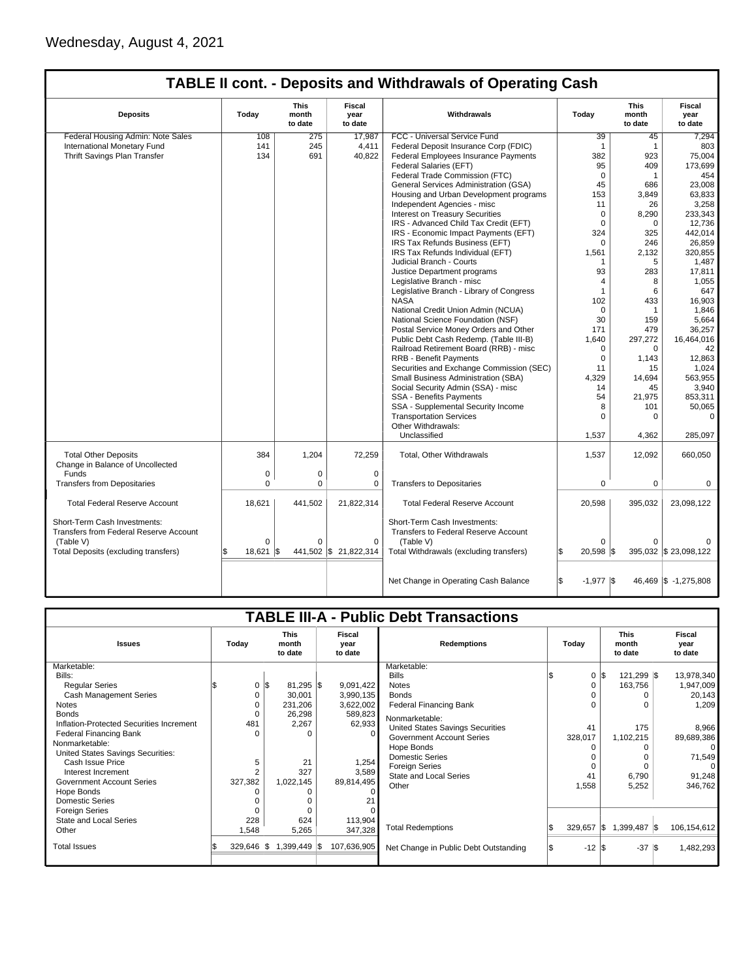| <b>TABLE II cont. - Deposits and Withdrawals of Operating Cash</b> |  |
|--------------------------------------------------------------------|--|
|--------------------------------------------------------------------|--|

| <b>Deposits</b>                                                                                                             | Today                    | <b>This</b><br>month<br>to date | Fiscal<br>year<br>to date        | Withdrawals                                                                                                                  | Today                                  | This<br>month<br>to date | Fiscal<br>vear<br>to date |
|-----------------------------------------------------------------------------------------------------------------------------|--------------------------|---------------------------------|----------------------------------|------------------------------------------------------------------------------------------------------------------------------|----------------------------------------|--------------------------|---------------------------|
| Federal Housing Admin: Note Sales                                                                                           | 108                      | 275                             | 17.987                           | FCC - Universal Service Fund                                                                                                 | 39                                     | 45                       | 7,294                     |
| International Monetary Fund                                                                                                 | 141                      | 245                             | 4,411                            | Federal Deposit Insurance Corp (FDIC)                                                                                        | $\mathbf{1}$                           | $\mathbf{1}$             | 803                       |
| Thrift Savings Plan Transfer                                                                                                | 134                      | 691                             | 40,822                           | Federal Employees Insurance Payments                                                                                         | 382                                    | 923                      | 75,004                    |
|                                                                                                                             |                          |                                 |                                  | Federal Salaries (EFT)                                                                                                       | 95                                     | 409                      | 173,699                   |
|                                                                                                                             |                          |                                 |                                  | Federal Trade Commission (FTC)                                                                                               | $\mathbf 0$                            | $\mathbf{1}$             | 454                       |
|                                                                                                                             |                          |                                 |                                  | General Services Administration (GSA)                                                                                        | 45                                     | 686                      | 23,008                    |
|                                                                                                                             |                          |                                 |                                  | Housing and Urban Development programs                                                                                       | 153                                    | 3,849                    | 63,833                    |
|                                                                                                                             |                          |                                 |                                  | Independent Agencies - misc                                                                                                  | 11                                     | 26                       | 3,258                     |
|                                                                                                                             |                          |                                 |                                  | <b>Interest on Treasury Securities</b>                                                                                       | $\mathbf 0$                            | 8,290                    | 233,343                   |
|                                                                                                                             |                          |                                 |                                  | IRS - Advanced Child Tax Credit (EFT)                                                                                        | $\mathbf 0$                            | 0                        | 12,736                    |
|                                                                                                                             |                          |                                 |                                  | IRS - Economic Impact Payments (EFT)                                                                                         | 324                                    | 325                      | 442.014                   |
|                                                                                                                             |                          |                                 |                                  | IRS Tax Refunds Business (EFT)                                                                                               | $\Omega$                               | 246                      | 26,859                    |
|                                                                                                                             |                          |                                 |                                  | IRS Tax Refunds Individual (EFT)                                                                                             | 1,561                                  | 2,132                    | 320,855                   |
|                                                                                                                             |                          |                                 |                                  | Judicial Branch - Courts                                                                                                     | 1                                      | 5                        | 1,487                     |
|                                                                                                                             |                          |                                 |                                  | Justice Department programs                                                                                                  | 93                                     | 283                      | 17,811                    |
|                                                                                                                             |                          |                                 |                                  | Legislative Branch - misc                                                                                                    | $\overline{4}$                         | 8                        | 1,055                     |
|                                                                                                                             |                          |                                 |                                  |                                                                                                                              | 1                                      | 6                        |                           |
|                                                                                                                             |                          |                                 |                                  | Legislative Branch - Library of Congress                                                                                     |                                        |                          | 647                       |
|                                                                                                                             |                          |                                 |                                  | <b>NASA</b>                                                                                                                  | 102                                    | 433                      | 16,903                    |
|                                                                                                                             |                          |                                 |                                  | National Credit Union Admin (NCUA)                                                                                           | $\Omega$                               | $\mathbf{1}$             | 1,846                     |
|                                                                                                                             |                          |                                 |                                  | National Science Foundation (NSF)                                                                                            | 30                                     | 159                      | 5,664                     |
|                                                                                                                             |                          |                                 |                                  | Postal Service Money Orders and Other                                                                                        | 171                                    | 479                      | 36,257                    |
|                                                                                                                             |                          |                                 |                                  | Public Debt Cash Redemp. (Table III-B)                                                                                       | 1,640                                  | 297,272                  | 16,464,016                |
|                                                                                                                             |                          |                                 |                                  | Railroad Retirement Board (RRB) - misc                                                                                       | $\Omega$                               | $\Omega$                 | 42                        |
|                                                                                                                             |                          |                                 |                                  | <b>RRB - Benefit Payments</b>                                                                                                | $\Omega$                               | 1,143                    | 12,863                    |
|                                                                                                                             |                          |                                 |                                  | Securities and Exchange Commission (SEC)                                                                                     | 11                                     | 15                       | 1,024                     |
|                                                                                                                             |                          |                                 |                                  | Small Business Administration (SBA)                                                                                          | 4,329                                  | 14,694                   | 563,955                   |
|                                                                                                                             |                          |                                 |                                  | Social Security Admin (SSA) - misc                                                                                           | 14                                     | 45                       | 3.940                     |
|                                                                                                                             |                          |                                 |                                  | SSA - Benefits Payments                                                                                                      | 54                                     | 21,975                   | 853.311                   |
|                                                                                                                             |                          |                                 |                                  | SSA - Supplemental Security Income                                                                                           | 8                                      | 101                      | 50,065                    |
|                                                                                                                             |                          |                                 |                                  | <b>Transportation Services</b>                                                                                               | $\Omega$                               | 0                        | $\Omega$                  |
|                                                                                                                             |                          |                                 |                                  | Other Withdrawals:                                                                                                           |                                        |                          |                           |
|                                                                                                                             |                          |                                 |                                  | Unclassified                                                                                                                 | 1,537                                  | 4,362                    | 285,097                   |
| <b>Total Other Deposits</b><br>Change in Balance of Uncollected                                                             | 384                      | 1,204                           | 72,259                           | Total, Other Withdrawals                                                                                                     | 1,537                                  | 12,092                   | 660,050                   |
| Funds                                                                                                                       | $\mathbf 0$              | $\pmb{0}$                       | $\mathbf 0$                      |                                                                                                                              |                                        |                          |                           |
| <b>Transfers from Depositaries</b>                                                                                          | $\Omega$                 | $\mathbf 0$                     | 0                                | <b>Transfers to Depositaries</b>                                                                                             | $\mathbf 0$                            | $\mathbf 0$              | 0                         |
| <b>Total Federal Reserve Account</b>                                                                                        | 18,621                   | 441,502                         | 21,822,314                       | <b>Total Federal Reserve Account</b>                                                                                         | 20,598                                 | 395,032                  | 23,098,122                |
| Short-Term Cash Investments:<br>Transfers from Federal Reserve Account<br>(Table V)<br>Total Deposits (excluding transfers) | $\Omega$<br>18,621<br>ß. | $\Omega$<br>I\$                 | $\Omega$<br>441,502 \$21,822,314 | Short-Term Cash Investments:<br>Transfers to Federal Reserve Account<br>(Table V)<br>Total Withdrawals (excluding transfers) | $\Omega$<br>l\$<br>$20.598$ $\sqrt{5}$ | 0                        | 395,032 \$ 23,098,122     |
|                                                                                                                             |                          |                                 |                                  | Net Change in Operating Cash Balance                                                                                         | \$<br>$-1,977$ \\$                     |                          | 46,469 \$ -1,275,808      |

|                                          |                |                                 |                           | <b>TABLE III-A - Public Debt Transactions</b> |              |                                 |                           |
|------------------------------------------|----------------|---------------------------------|---------------------------|-----------------------------------------------|--------------|---------------------------------|---------------------------|
|                                          |                |                                 |                           |                                               |              |                                 |                           |
| <b>Issues</b>                            | Today          | <b>This</b><br>month<br>to date | Fiscal<br>year<br>to date | <b>Redemptions</b>                            | Todav        | <b>This</b><br>month<br>to date | Fiscal<br>year<br>to date |
| Marketable:                              |                |                                 |                           | Marketable:                                   |              |                                 |                           |
| Bills:                                   |                |                                 |                           | <b>Bills</b>                                  | 0            | l\$<br>121,299 \$               | 13,978,340                |
| <b>Reqular Series</b>                    | 0              | $81,295$ \$<br>l\$              | 9,091,422                 | <b>Notes</b>                                  |              | 163,756                         | 1,947,009                 |
| <b>Cash Management Series</b>            | 0              | 30,001                          | 3,990,135                 | <b>Bonds</b>                                  |              |                                 | 20,143                    |
| <b>Notes</b>                             | 0              | 231,206                         | 3,622,002                 | <b>Federal Financing Bank</b>                 |              | U                               | 1,209                     |
| <b>Bonds</b>                             | U              | 26,298                          | 589,823                   | Nonmarketable:                                |              |                                 |                           |
| Inflation-Protected Securities Increment | 481            | 2,267                           | 62,933                    | United States Savings Securities              | 41           | 175                             | 8,966                     |
| <b>Federal Financing Bank</b>            | U              | $\Omega$                        |                           | <b>Government Account Series</b>              | 328,017      | 1,102,215                       | 89,689,386                |
| Nonmarketable:                           |                |                                 |                           | Hope Bonds                                    |              |                                 | $\Omega$                  |
| United States Savings Securities:        |                |                                 |                           | <b>Domestic Series</b>                        |              | 0                               | 71,549                    |
| Cash Issue Price                         | 5              | 21                              | 1,254                     | Foreign Series                                | $\Omega$     | $\Omega$                        | $\Omega$                  |
| Interest Increment                       | $\overline{2}$ | 327                             | 3,589                     | State and Local Series                        | 41           | 6,790                           | 91,248                    |
| <b>Government Account Series</b>         | 327,382        | 1,022,145                       | 89,814,495                | Other                                         | 1,558        | 5,252                           | 346,762                   |
| Hope Bonds                               |                | 0                               |                           |                                               |              |                                 |                           |
| Domestic Series                          |                | $\Omega$                        |                           |                                               |              |                                 |                           |
| <b>Foreign Series</b>                    |                | $\Omega$                        |                           |                                               |              |                                 |                           |
| State and Local Series                   | 228            | 624                             | 113,904                   |                                               |              |                                 |                           |
| Other                                    | 1,548          | 5,265                           | 347,328                   | <b>Total Redemptions</b>                      | $329,657$ \$ | 1,399,487 \$                    | 106,154,612               |
| <b>Total Issues</b>                      | $329.646$ \\$  | $1,399,449$ \\$                 | 107,636,905               | Net Change in Public Debt Outstanding         | $-12$ \$     | $-37$ \$                        | 1,482,293                 |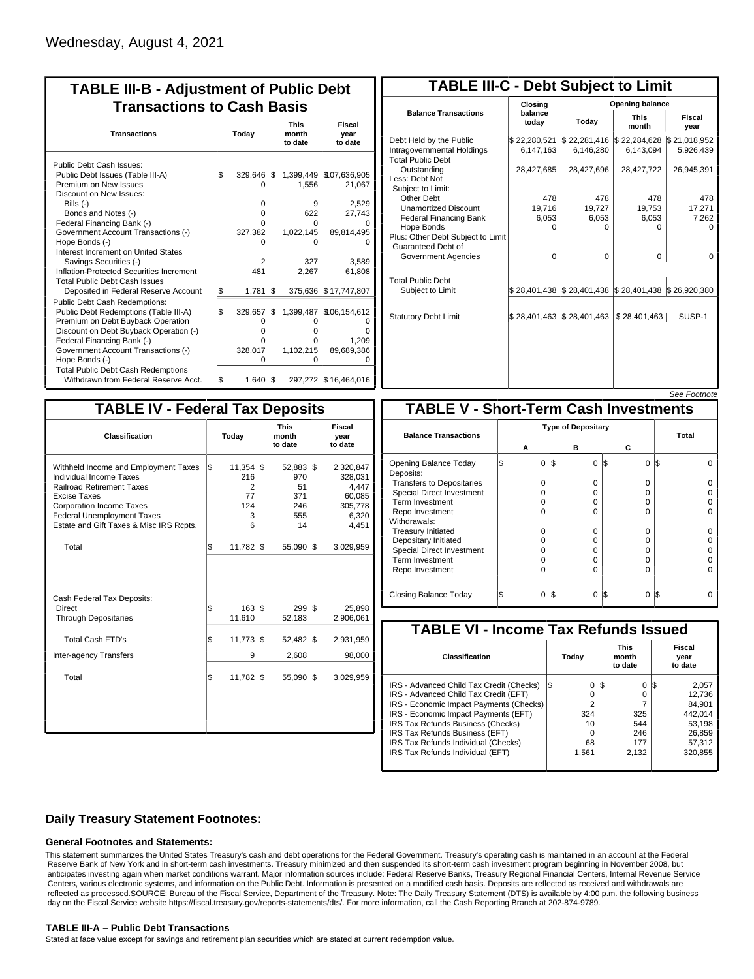| <b>TABLE III-B - Adjustment of Public Debt</b><br><b>Transactions to Cash Basis</b>                                                                                                                                                                                                                                                                                                                |     |                                                           |     |                                                          |                                                                                       |
|----------------------------------------------------------------------------------------------------------------------------------------------------------------------------------------------------------------------------------------------------------------------------------------------------------------------------------------------------------------------------------------------------|-----|-----------------------------------------------------------|-----|----------------------------------------------------------|---------------------------------------------------------------------------------------|
| <b>Transactions</b>                                                                                                                                                                                                                                                                                                                                                                                |     | Today                                                     |     | <b>This</b><br>month<br>to date                          | <b>Fiscal</b><br>year<br>to date                                                      |
| Public Debt Cash Issues:<br>Public Debt Issues (Table III-A)<br>Premium on New Issues<br>Discount on New Issues:<br>Bills $(-)$<br>Bonds and Notes (-)<br>Federal Financing Bank (-)<br>Government Account Transactions (-)<br>Hope Bonds (-)<br>Interest Increment on United States<br>Savings Securities (-)<br>Inflation-Protected Securities Increment<br><b>Total Public Debt Cash Issues</b> | \$  | 329.646<br>$\Omega$<br>0<br>0<br>0<br>327,382<br>2<br>481 | I\$ | 1,556<br>9<br>622<br>O<br>1,022,145<br>ი<br>327<br>2,267 | 1,399,449 \\$07,636,905<br>21,067<br>2,529<br>27,743<br>89,814,495<br>3.589<br>61,808 |
| Deposited in Federal Reserve Account                                                                                                                                                                                                                                                                                                                                                               | \$  | 1,781                                                     | l\$ | 375,636                                                  | \$17,747,807                                                                          |
| <b>Public Debt Cash Redemptions:</b><br>Public Debt Redemptions (Table III-A)<br>Premium on Debt Buyback Operation<br>Discount on Debt Buyback Operation (-)<br>Federal Financing Bank (-)<br>Government Account Transactions (-)<br>Hope Bonds (-)<br><b>Total Public Debt Cash Redemptions</b>                                                                                                   | l\$ | 329,657<br>0<br>o<br>0<br>328,017<br>ი                    | \$  | 1,399,487<br>O<br>o<br>o<br>1,102,215<br>0               | \$106,154,612<br>1,209<br>89,689,386                                                  |
| Withdrawn from Federal Reserve Acct.                                                                                                                                                                                                                                                                                                                                                               | \$  | 1,640                                                     | \$  |                                                          | 297,272   \$16,464,016                                                                |

| <b>TABLE III-C - Debt Subject to Limit</b>                                        |                             |                                                                                                     |                           |                           |  |  |  |  |  |  |
|-----------------------------------------------------------------------------------|-----------------------------|-----------------------------------------------------------------------------------------------------|---------------------------|---------------------------|--|--|--|--|--|--|
|                                                                                   | Closing                     | <b>Opening balance</b>                                                                              |                           |                           |  |  |  |  |  |  |
| <b>Balance Transactions</b>                                                       | balance<br>todav            | Today                                                                                               | <b>This</b><br>month      | Fiscal<br>year            |  |  |  |  |  |  |
| Debt Held by the Public<br>Intragovernmental Holdings<br><b>Total Public Debt</b> | \$22,280,521<br>6,147,163   | \$22,281,416<br>6,146,280                                                                           | \$22,284,628<br>6,143,094 | \$21,018,952<br>5,926,439 |  |  |  |  |  |  |
| Outstanding<br>Less: Debt Not<br>Subject to Limit:                                | 28,427,685                  | 28,427,696                                                                                          | 28,427,722                | 26,945,391                |  |  |  |  |  |  |
| Other Debt                                                                        | 478                         | 478                                                                                                 | 478                       | 478                       |  |  |  |  |  |  |
| <b>Unamortized Discount</b>                                                       | 19,716                      | 19,727                                                                                              | 19.753                    | 17,271                    |  |  |  |  |  |  |
| <b>Federal Financing Bank</b>                                                     | 6,053                       | 6,053                                                                                               | 6,053                     | 7,262                     |  |  |  |  |  |  |
| Hope Bonds<br>Plus: Other Debt Subject to Limit<br>Guaranteed Debt of             | $\Omega$                    | $\Omega$                                                                                            | O                         | o                         |  |  |  |  |  |  |
| Government Agencies                                                               | $\Omega$                    | $\Omega$                                                                                            | 0                         | 0                         |  |  |  |  |  |  |
| <b>Total Public Debt</b><br>Subject to Limit                                      |                             | $\frac{1}{2}$ 28,401,438 $\frac{1}{2}$ 28,401,438 $\frac{1}{2}$ 28,401,438 $\frac{1}{2}$ 26,920,380 |                           |                           |  |  |  |  |  |  |
| <b>Statutory Debt Limit</b>                                                       | $$28,401,463$ $$28,401,463$ |                                                                                                     | \$28,401,463              | SUSP-1                    |  |  |  |  |  |  |
|                                                                                   |                             |                                                                                                     |                           |                           |  |  |  |  |  |  |

| See Footnote |
|--------------|
|--------------|

| <b>TABLE IV - Federal Tax Deposits</b>                                                                                                                                                                                                        |     |                                                 |     |                                                     |     |                                                                      |
|-----------------------------------------------------------------------------------------------------------------------------------------------------------------------------------------------------------------------------------------------|-----|-------------------------------------------------|-----|-----------------------------------------------------|-----|----------------------------------------------------------------------|
| <b>Classification</b>                                                                                                                                                                                                                         |     | Today                                           |     | <b>This</b><br>month<br>to date                     |     | Fiscal<br>year<br>to date                                            |
| Withheld Income and Employment Taxes<br>Individual Income Taxes<br><b>Railroad Retirement Taxes</b><br><b>Excise Taxes</b><br><b>Corporation Income Taxes</b><br><b>Federal Unemployment Taxes</b><br>Estate and Gift Taxes & Misc IRS Rcpts. | l\$ | $11,354$ \\$<br>216<br>2<br>77<br>124<br>3<br>6 |     | $52,883$ \$<br>970<br>51<br>371<br>246<br>555<br>14 |     | 2,320,847<br>328,031<br>4,447<br>60,085<br>305,778<br>6,320<br>4,451 |
| Total                                                                                                                                                                                                                                         | l\$ | 11,782                                          | 1\$ | 55,090                                              | İ\$ | 3,029,959                                                            |
| Cash Federal Tax Deposits:<br><b>Direct</b><br><b>Through Depositaries</b>                                                                                                                                                                    | \$  | $163$ $\overline{\text{S}}$<br>11,610           |     | 299<br>52,183                                       | l\$ | 25,898<br>2,906,061                                                  |
| <b>Total Cash FTD's</b>                                                                                                                                                                                                                       | \$  | 11,773                                          | 1\$ | 52,482                                              | 1\$ | 2,931,959                                                            |
| <b>Inter-agency Transfers</b>                                                                                                                                                                                                                 |     | 9                                               |     | 2,608                                               |     | 98,000                                                               |
| Total                                                                                                                                                                                                                                         | l\$ | 11,782                                          | 1\$ | 55,090                                              | 1\$ | 3,029,959                                                            |
|                                                                                                                                                                                                                                               |     |                                                 |     |                                                     |     |                                                                      |

|                                              |                |     |                           |                 | <i><b>JEE FUULIUIE</b></i> |
|----------------------------------------------|----------------|-----|---------------------------|-----------------|----------------------------|
| <b>TABLE V - Short-Term Cash Investments</b> |                |     |                           |                 |                            |
|                                              |                |     | <b>Type of Depositary</b> |                 |                            |
| <b>Balance Transactions</b>                  | А              |     | в                         | С               | Total                      |
|                                              |                |     |                           |                 |                            |
| Opening Balance Today<br>Deposits:           | \$<br>$\Omega$ | l\$ | $\Omega$                  | \$<br>$\Omega$  | IS.<br>0                   |
| <b>Transfers to Depositaries</b>             | $\Omega$       |     | $\Omega$                  | $\Omega$        |                            |
| Special Direct Investment                    | 0              |     | $\Omega$                  | 0               |                            |
| Term Investment                              | 0              |     | $\Omega$                  | 0               |                            |
| Repo Investment                              | $\Omega$       |     | $\Omega$                  | 0               |                            |
| Withdrawals:                                 |                |     |                           |                 |                            |
| <b>Treasury Initiated</b>                    | 0              |     | 0                         | 0               |                            |
| Depositary Initiated                         | 0              |     | O                         | 0               |                            |
| <b>Special Direct Investment</b>             | 0              |     | O                         | 0               |                            |
| <b>Term Investment</b>                       | $\Omega$       |     | $\Omega$                  | 0               |                            |
| Repo Investment                              | $\Omega$       |     | $\Omega$                  | $\Omega$        |                            |
|                                              |                |     |                           |                 |                            |
| Closing Balance Today                        | \$<br>$\Omega$ | l\$ | $\Omega$                  | I\$<br>$\Omega$ | IS                         |

| Fiscal<br>to date |
|-------------------|
|                   |
| 2,057             |
| 12.736            |
| 84.901            |
| 442.014           |
| 53.198            |
| 26,859            |
| 57.312            |
| 320,855           |
|                   |

### **Daily Treasury Statement Footnotes:**

### **General Footnotes and Statements:**

This statement summarizes the United States Treasury's cash and debt operations for the Federal Government. Treasury's operating cash is maintained in an account at the Federal Reserve Bank of New York and in short-term cash investments. Treasury minimized and then suspended its short-term cash investment program beginning in November 2008, but anticipates investing again when market conditions warrant. Major information sources include: Federal Reserve Banks, Treasury Regional Financial Centers, Internal Revenue Service Centers, various electronic systems, and information on the Public Debt. Information is presented on a modified cash basis. Deposits are reflected as received and withdrawals are reflected as processed.SOURCE: Bureau of the Fiscal Service, Department of the Treasury. Note: The Daily Treasury Statement (DTS) is available by 4:00 p.m. the following business day on the Fiscal Service website https://fiscal.treasury.gov/reports-statements/dts/. For more information, call the Cash Reporting Branch at 202-874-9789.

#### **TABLE III-A – Public Debt Transactions**

Stated at face value except for savings and retirement plan securities which are stated at current redemption value.